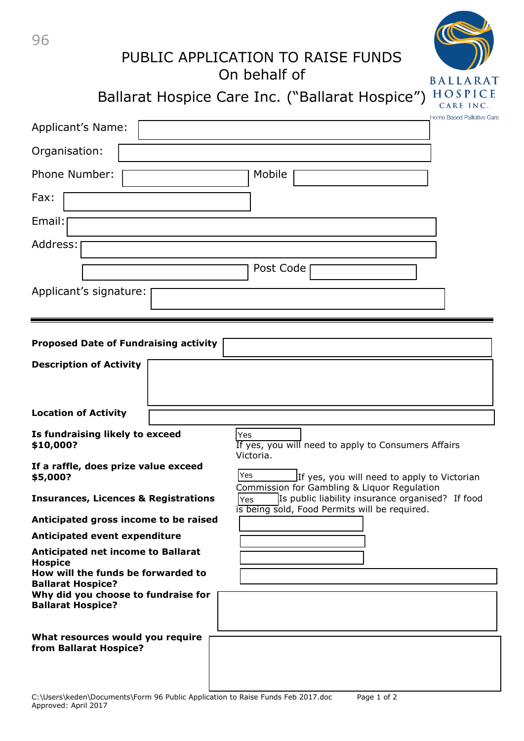| 96                                               | PUBLIC APPLICATION TO RAISE FUNDS<br>On behalf of<br><b>BALLARAT</b><br>HOSPICE<br>Ballarat Hospice Care Inc. ("Ballarat Hospice")<br>CARE INC.         |
|--------------------------------------------------|---------------------------------------------------------------------------------------------------------------------------------------------------------|
| Applicant's Name:                                | Home Based Palliative Care                                                                                                                              |
| Organisation:                                    |                                                                                                                                                         |
| <b>Phone Number:</b>                             | Mobile                                                                                                                                                  |
| Fax:<br>Email:<br>Address:                       |                                                                                                                                                         |
| Applicant's signature:                           | Post Code                                                                                                                                               |
| <b>Proposed Date of Fundraising activity</b>     |                                                                                                                                                         |
| <b>Description of Activity</b>                   |                                                                                                                                                         |
| <b>Location of Activity</b>                      |                                                                                                                                                         |
| Is fundraising likely to exceed<br>\$10,000?     | Yes<br>If yes, you will need to apply to Consumers Affairs<br>Victoria.                                                                                 |
| If a raffle, does prize value exceed<br>\$5,000? | Yes<br>If yes, you will need to apply to Victorian                                                                                                      |
| <b>Insurances, Licences &amp; Registrations</b>  | Commission for Gambling & Liquor Regulation<br>Is public liability insurance organised? If food<br>Yes<br>is being sold, Food Permits will be required. |
| Anticipated gross income to be raised            |                                                                                                                                                         |
| Anticipated event expenditure                    |                                                                                                                                                         |

**Anticipated net income to Ballarat**

**Hospice How will the funds be forwarded to Ballarat Hospice?**

**Why did you choose to fundraise for Ballarat Hospice?**

**What resources would you require from Ballarat Hospice?**

C:\Users\keden\Documents\Form 96 Public Application to Raise Funds Feb 2017.doc Page 1 of 2 Approved: April 2017